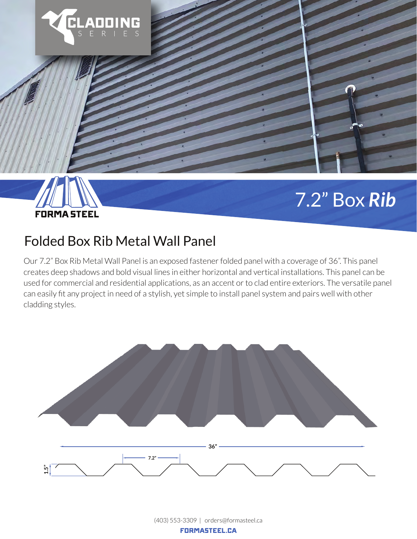



## 7.2" Box *Rib*

## Folded Box Rib Metal Wall Panel

Our 7.2" Box Rib Metal Wall Panel is an exposed fastener folded panel with a coverage of 36". This panel creates deep shadows and bold visual lines in either horizontal and vertical installations. This panel can be used for commercial and residential applications, as an accent or to clad entire exteriors. The versatile panel can easily fit any project in need of a stylish, yet simple to install panel system and pairs well with other cladding styles.



(403) 553-3309 | orders@formasteel.ca FORMASTEEL.CA